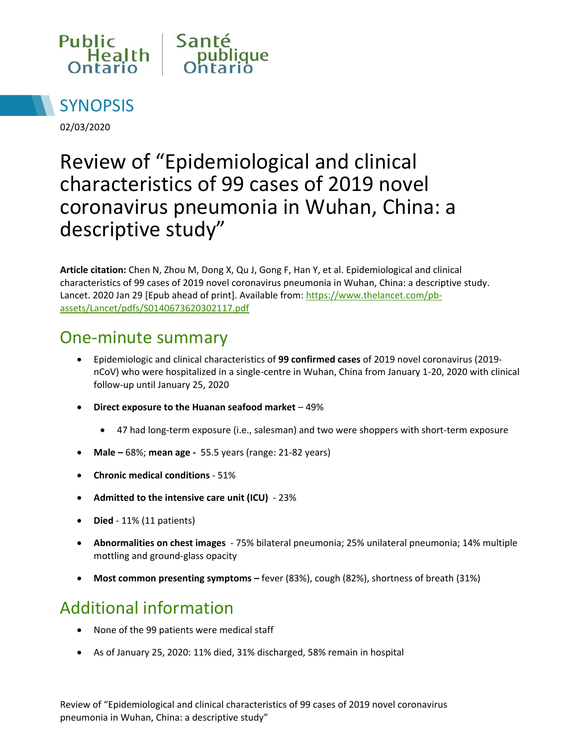



02/03/2020

# Review of "Epidemiological and clinical characteristics of 99 cases of 2019 novel coronavirus pneumonia in Wuhan, China: a descriptive study"

**Article citation:** Chen N, Zhou M, Dong X, Qu J, Gong F, Han Y, et al. Epidemiological and clinical characteristics of 99 cases of 2019 novel coronavirus pneumonia in Wuhan, China: a descriptive study. Lancet. 2020 Jan 29 [Epub ahead of print]. Available from: [https://www.thelancet.com/pb](https://www.thelancet.com/pb-assets/Lancet/pdfs/S0140673620302117.pdf)[assets/Lancet/pdfs/S0140673620302117.pdf](https://www.thelancet.com/pb-assets/Lancet/pdfs/S0140673620302117.pdf) 

### One-minute summary

- Epidemiologic and clinical characteristics of **99 confirmed cases** of 2019 novel coronavirus (2019 nCoV) who were hospitalized in a single-centre in Wuhan, China from January 1-20, 2020 with clinical follow-up until January 25, 2020
- **Direct exposure to the Huanan seafood market**  49%
	- 47 had long-term exposure (i.e., salesman) and two were shoppers with short-term exposure
- **Male –** 68%; **mean age** 55.5 years (range: 21-82 years)
- **Chronic medical conditions**  51%
- **Admitted to the intensive care unit (ICU)**  23%
- **Died** 11% (11 patients)
- **Abnormalities on chest images**  75% bilateral pneumonia; 25% unilateral pneumonia; 14% multiple mottling and ground-glass opacity
- **Most common presenting symptoms –** fever (83%), cough (82%), shortness of breath (31%)

## Additional information

- None of the 99 patients were medical staff
- As of January 25, 2020: 11% died, 31% discharged, 58% remain in hospital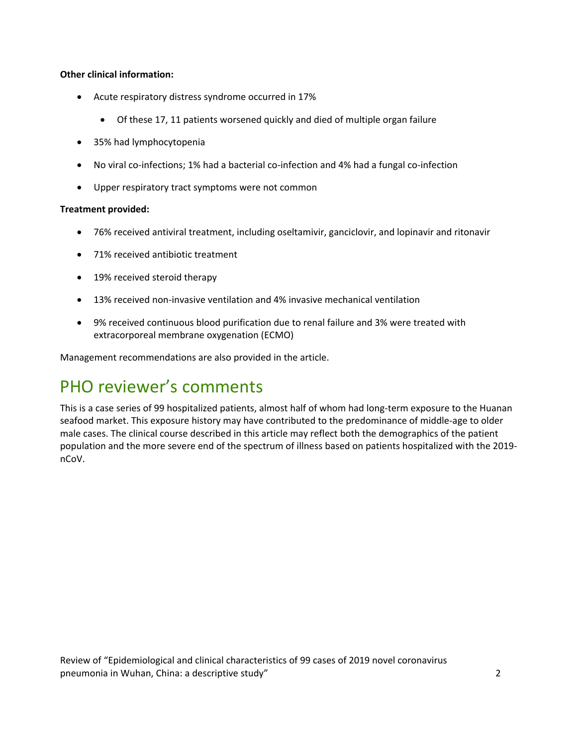#### **Other clinical information:**

- Acute respiratory distress syndrome occurred in 17%
	- Of these 17, 11 patients worsened quickly and died of multiple organ failure
- 35% had lymphocytopenia
- No viral co-infections; 1% had a bacterial co-infection and 4% had a fungal co-infection
- Upper respiratory tract symptoms were not common

#### **Treatment provided:**

- 76% received antiviral treatment, including oseltamivir, ganciclovir, and lopinavir and ritonavir
- 71% received antibiotic treatment
- 19% received steroid therapy
- 13% received non-invasive ventilation and 4% invasive mechanical ventilation
- 9% received continuous blood purification due to renal failure and 3% were treated with extracorporeal membrane oxygenation (ECMO)

Management recommendations are also provided in the article.

### PHO reviewer's comments

This is a case series of 99 hospitalized patients, almost half of whom had long-term exposure to the Huanan seafood market. This exposure history may have contributed to the predominance of middle-age to older male cases. The clinical course described in this article may reflect both the demographics of the patient population and the more severe end of the spectrum of illness based on patients hospitalized with the 2019 nCoV.

Review of "Epidemiological and clinical characteristics of 99 cases of 2019 novel coronavirus pneumonia in Wuhan, China: a descriptive study" 2